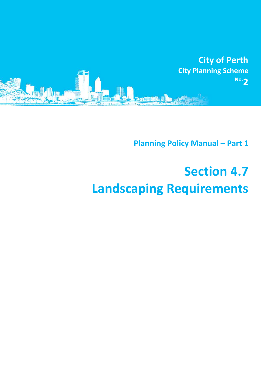

**Planning Policy Manual – Part 1**

## **Section 4.7 Landscaping Requirements**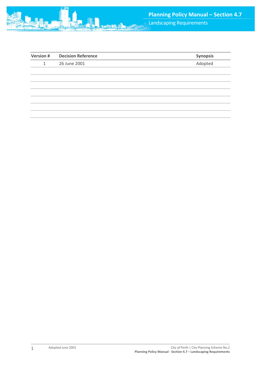

| <b>Version #</b> | <b>Decision Reference</b> | Synopsis |
|------------------|---------------------------|----------|
| 1                | 26 June 2001              | Adopted  |
|                  |                           |          |
|                  |                           |          |
|                  |                           |          |
|                  |                           |          |
|                  |                           |          |
|                  |                           |          |
|                  |                           |          |